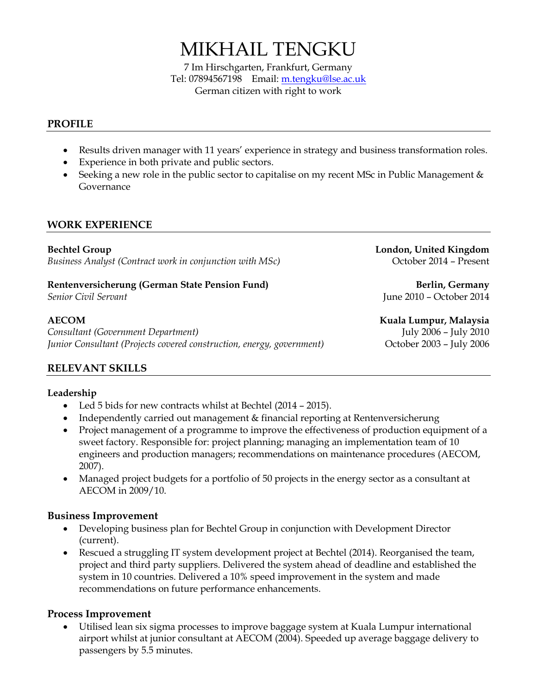# MIKHAIL TENGKU

7 Im Hirschgarten, Frankfurt, Germany Tel: 07894567198 Email[: m.tengku@lse.ac.uk](mailto:m.tengku@lse.ac.uk) German citizen with right to work

#### **PROFILE**

- Results driven manager with 11 years' experience in strategy and business transformation roles.
- Experience in both private and public sectors.
- Seeking a new role in the public sector to capitalise on my recent MSc in Public Management  $\&$ Governance

### **WORK EXPERIENCE**

**Bechtel Group London, United Kingdom** *Business Analyst (Contract work in conjunction with MSc)* October 2014 – Present

# **Rentenversicherung** (German State Pension Fund) **Berlin, Germany Berlin, Germany**

*Consultant (Government Department)* July 2006 – July 2010 *Junior Consultant (Projects covered construction, energy, government)* Corober 2003 - July 2006

*Senior Civil Servant* June 2010 – October 2014

**AECOM Kuala Lumpur, Malaysia**

# **RELEVANT SKILLS**

#### **Leadership**

- Led 5 bids for new contracts whilst at Bechtel (2014 2015).
- Independently carried out management & financial reporting at Rentenversicherung
- Project management of a programme to improve the effectiveness of production equipment of a sweet factory. Responsible for: project planning; managing an implementation team of 10 engineers and production managers; recommendations on maintenance procedures (AECOM, 2007).
- Managed project budgets for a portfolio of 50 projects in the energy sector as a consultant at AECOM in 2009/10.

#### **Business Improvement**

- Developing business plan for Bechtel Group in conjunction with Development Director (current).
- Rescued a struggling IT system development project at Bechtel (2014). Reorganised the team, project and third party suppliers. Delivered the system ahead of deadline and established the system in 10 countries. Delivered a 10% speed improvement in the system and made recommendations on future performance enhancements.

#### **Process Improvement**

 Utilised lean six sigma processes to improve baggage system at Kuala Lumpur international airport whilst at junior consultant at AECOM (2004). Speeded up average baggage delivery to passengers by 5.5 minutes.